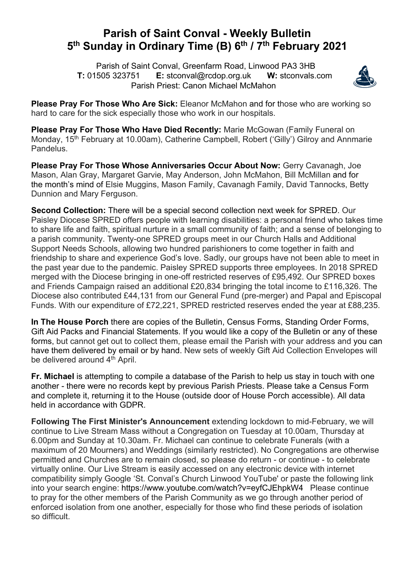## **Parish of Saint Conval - Weekly Bulletin 5th Sunday in Ordinary Time (B) 6th / 7th February 2021**

 Parish of Saint Conval, Greenfarm Road, Linwood PA3 3HB **T:** 01505 323751 **E:** stconval@rcdop.org.uk **W:** stconvals.com Parish Priest: Canon Michael McMahon



**Please Pray For Those Who Are Sick:** Eleanor McMahon and for those who are working so hard to care for the sick especially those who work in our hospitals.

**Please Pray For Those Who Have Died Recently:** Marie McGowan (Family Funeral on Monday, 15<sup>th</sup> February at 10.00am), Catherine Campbell, Robert ('Gilly') Gilroy and Annmarie Pandelus.

**Please Pray For Those Whose Anniversaries Occur About Now:** Gerry Cavanagh, Joe Mason, Alan Gray, Margaret Garvie, May Anderson, John McMahon, Bill McMillan and for the month's mind of Elsie Muggins, Mason Family, Cavanagh Family, David Tannocks, Betty Dunnion and Mary Ferguson.

**Second Collection:** There will be a special second collection next week for SPRED. Our Paisley Diocese SPRED offers people with learning disabilities: a personal friend who takes time to share life and faith, spiritual nurture in a small community of faith; and a sense of belonging to a parish community. Twenty-one SPRED groups meet in our Church Halls and Additional Support Needs Schools, allowing two hundred parishioners to come together in faith and friendship to share and experience God's love. Sadly, our groups have not been able to meet in the past year due to the pandemic. Paisley SPRED supports three employees. In 2018 SPRED merged with the Diocese bringing in one-off restricted reserves of £95,492. Our SPRED boxes and Friends Campaign raised an additional £20,834 bringing the total income to £116,326. The Diocese also contributed £44,131 from our General Fund (pre-merger) and Papal and Episcopal Funds. With our expenditure of £72,221, SPRED restricted reserves ended the year at £88,235.

**In The House Porch** there are copies of the Bulletin, Census Forms, Standing Order Forms, Gift Aid Packs and Financial Statements. If you would like a copy of the Bulletin or any of these forms, but cannot get out to collect them, please email the Parish with your address and you can have them delivered by email or by hand. New sets of weekly Gift Aid Collection Envelopes will be delivered around 4<sup>th</sup> April.

**Fr. Michael** is attempting to compile a database of the Parish to help us stay in touch with one another - there were no records kept by previous Parish Priests. Please take a Census Form and complete it, returning it to the House (outside door of House Porch accessible). All data held in accordance with GDPR.

**Following The First Minister's Announcement** extending lockdown to mid-February, we will continue to Live Stream Mass without a Congregation on Tuesday at 10.00am, Thursday at 6.00pm and Sunday at 10.30am. Fr. Michael can continue to celebrate Funerals (with a maximum of 20 Mourners) and Weddings (similarly restricted). No Congregations are otherwise permitted and Churches are to remain closed, so please do return - or continue - to celebrate virtually online. Our Live Stream is easily accessed on any electronic device with internet compatibility simply Google 'St. Conval's Church Linwood YouTube' or paste the following link into your search engine: https://www.youtube.com/watch?v=eyfCJEhpkW4 Please continue to pray for the other members of the Parish Community as we go through another period of enforced isolation from one another, especially for those who find these periods of isolation so difficult.